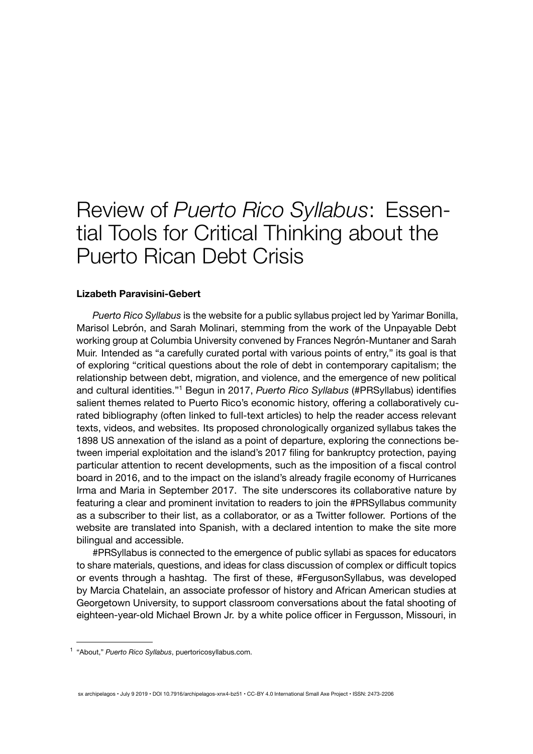## Review of *Puerto Rico Syllabus*: Essential Tools for Critical Thinking about the Puerto Rican Debt Crisis

## **Lizabeth Paravisini-Gebert**

*[Puerto Rico Syllabus](https://puertoricosyllabus.com/)* is the website for a public syllabus project led by Yarimar Bonilla, Marisol Lebrón, and Sarah Molinari, stemming from the work of the Unpayable Debt working group at Columbia University convened by Frances Negrón-Muntaner and Sarah Muir. Intended as "a carefully curated portal with various points of entry," its goal is that of exploring "critical questions about the role of debt in contemporary capitalism; the relationship between debt, migration, and violence, and the emergence of new political and cultural identities."<sup>1</sup> Begun in 2017, *Puerto Rico Syllabus* (#PRSyllabus) identifies salient themes related to Puerto Rico's economic history, offering a collaboratively curated bibliography (often linked to full-text articles) to help the reader access relevant texts, videos, and websites. Its proposed chronologically organized syllabus takes the 1898 US annexation of the island as a point of departure, exploring the connections between imperial exploitation and the island's 2017 filing for bankruptcy protection, paying particular attention to recent developments, such as the imposition of a fiscal control board in 2016, and to the impact on the island's already fragile economy of Hurricanes Irma and Maria in September 2017. The site underscores its collaborative nature by featuring a clear and prominent invitation to readers to join the #PRSyllabus community as a subscriber to their list, as a collaborator, or as a Twitter follower. Portions of the website are translated into Spanish, with a declared intention to make the site more bilingual and accessible.

#PRSyllabus is connected to the emergence of public syllabi as spaces for educators to share materials, questions, and ideas for class discussion of complex or difficult topics or events through a hashtag. The first of these, #FergusonSyllabus, was developed by Marcia Chatelain, an associate professor of history and African American studies at Georgetown University, to support classroom conversations about the fatal shooting of eighteen-year-old Michael Brown Jr. by a white police officer in Fergusson, Missouri, in

sx archipelagos • July 9 2019 • DOI 10.7916/archipelagos-xnx4-bz51 • CC-BY 4.0 International Small Axe Project • ISSN: 2473-2206

<sup>1</sup> "About," *Puerto Rico Syllabus*, puertoricosyllabus.com.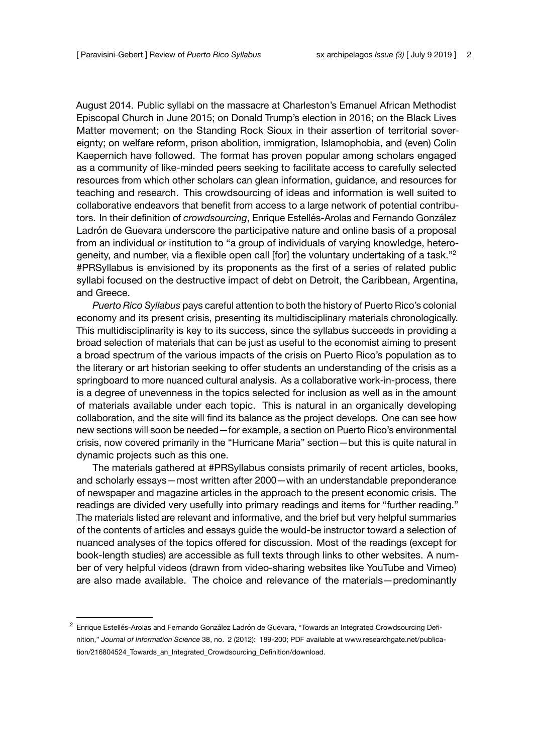August 2014. Public syllabi on the massacre at Charleston's Emanuel African Methodist Episcopal Church in June 2015; on Donald Trump's election in 2016; on the Black Lives Matter movement; on the Standing Rock Sioux in their assertion of territorial sovereignty; on welfare reform, prison abolition, immigration, Islamophobia, and (even) Colin Kaepernich have followed. The format has proven popular among scholars engaged as a community of like-minded peers seeking to facilitate access to carefully selected resources from which other scholars can glean information, guidance, and resources for teaching and research. This crowdsourcing of ideas and information is well suited to collaborative endeavors that benefit from access to a large network of potential contributors. In their definition of *crowdsourcing*, Enrique Estellés-Arolas and Fernando González Ladrón de Guevara underscore the participative nature and online basis of a proposal from an individual or institution to "a group of individuals of varying knowledge, heterogeneity, and number, via a flexible open call [for] the voluntary undertaking of a task."<sup>2</sup> #PRSyllabus is envisioned by its proponents as the first of a series of related public syllabi focused on the destructive impact of debt on Detroit, the Caribbean, Argentina, and Greece.

*Puerto Rico Syllabus* pays careful attention to both the history of Puerto Rico's colonial economy and its present crisis, presenting its multidisciplinary materials chronologically. This multidisciplinarity is key to its success, since the syllabus succeeds in providing a broad selection of materials that can be just as useful to the economist aiming to present a broad spectrum of the various impacts of the crisis on Puerto Rico's population as to the literary or art historian seeking to offer students an understanding of the crisis as a springboard to more nuanced cultural analysis. As a collaborative work-in-process, there is a degree of unevenness in the topics selected for inclusion as well as in the amount of materials available under each topic. This is natural in an organically developing collaboration, and the site will find its balance as the project develops. One can see how new sections will soon be needed—for example, a section on Puerto Rico's environmental crisis, now covered primarily in the "Hurricane Maria" section—but this is quite natural in dynamic projects such as this one.

The materials gathered at #PRSyllabus consists primarily of recent articles, books, and scholarly essays—most written after 2000—with an understandable preponderance of newspaper and magazine articles in the approach to the present economic crisis. The readings are divided very usefully into primary readings and items for "further reading." The materials listed are relevant and informative, and the brief but very helpful summaries of the contents of articles and essays guide the would-be instructor toward a selection of nuanced analyses of the topics offered for discussion. Most of the readings (except for book-length studies) are accessible as full texts through links to other websites. A number of very helpful videos (drawn from video-sharing websites like YouTube and Vimeo) are also made available. The choice and relevance of the materials—predominantly

<sup>&</sup>lt;sup>2</sup> Enrique Estellés-Arolas and Fernando González Ladrón de Guevara, "Towards an Integrated Crowdsourcing Definition," *Journal of Information Science* 38, no. 2 (2012): 189-200; PDF available at [www.researchgate.net/publica](http://www.researchgate.net/publication/216804524_Towards_an_Integrated_Crowdsourcing_Definition/download)[tion/216804524\\_Towards\\_an\\_Integrated\\_Crowdsourcing\\_Definition/download.](http://www.researchgate.net/publication/216804524_Towards_an_Integrated_Crowdsourcing_Definition/download)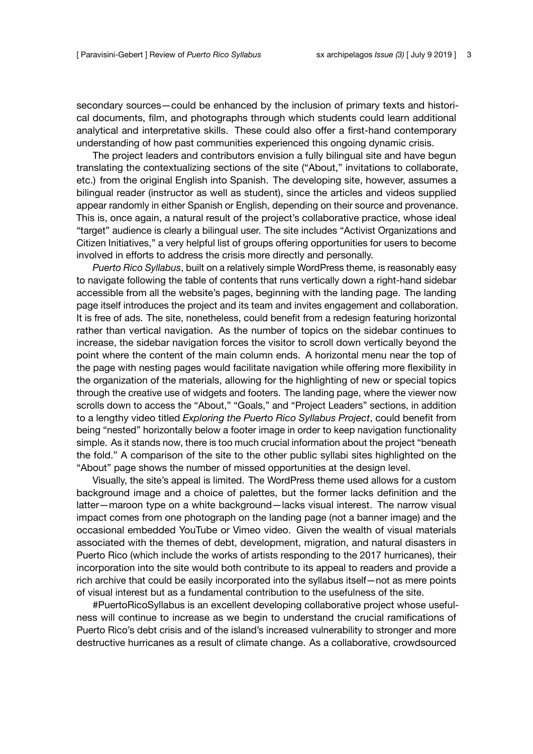secondary sources—could be enhanced by the inclusion of primary texts and historical documents, film, and photographs through which students could learn additional analytical and interpretative skills. These could also offer a first-hand contemporary understanding of how past communities experienced this ongoing dynamic crisis.

The project leaders and contributors envision a fully bilingual site and have begun translating the contextualizing sections of the site ("About," invitations to collaborate, etc.) from the original English into Spanish. The developing site, however, assumes a bilingual reader (instructor as well as student), since the articles and videos supplied appear randomly in either Spanish or English, depending on their source and provenance. This is, once again, a natural result of the project's collaborative practice, whose ideal "target" audience is clearly a bilingual user. The site includes "Activist [Organizations and](https://puertoricosyllabus.com/additional-resources/activists-organizations-and-citizen-initiatives/) Citizen [Initiatives](https://puertoricosyllabus.com/additional-resources/activists-organizations-and-citizen-initiatives/)," a very helpful list of groups offering opportunities for users to become involved in efforts to address the crisis more directly and personally.

*Puerto Rico Syllabus*, built on a relatively simple WordPress theme, is reasonably easy to navigate following the table of contents that runs vertically down a right-hand sidebar accessible from all the website's pages, beginning with the landing page. The landing page itself introduces the project and its team and invites engagement and collaboration. It is free of ads. The site, nonetheless, could benefit from a redesign featuring horizontal rather than vertical navigation. As the number of topics on the sidebar continues to increase, the sidebar navigation forces the visitor to scroll down vertically beyond the point where the content of the main column ends. A horizontal menu near the top of the page with nesting pages would facilitate navigation while offering more flexibility in the organization of the materials, allowing for the highlighting of new or special topics through the creative use of widgets and footers. The landing page, where the viewer now scrolls down to access the "About," "Goals," and "Project Leaders" sections, in addition to a lengthy video titled *Exploring the Puerto Rico Syllabus Project*, could benefit from being "nested" horizontally below a footer image in order to keep navigation functionality simple. As it stands now, there is too much crucial information about the project "beneath the fold." A comparison of the site to the other public syllabi sites highlighted on the "About" page shows the number of missed opportunities at the design level.

Visually, the site's appeal is limited. The WordPress theme used allows for a custom background image and a choice of palettes, but the former lacks definition and the latter—maroon type on a white background—lacks visual interest. The narrow visual impact comes from one photograph on the landing page (not a banner image) and the occasional embedded YouTube or Vimeo video. Given the wealth of visual materials associated with the themes of debt, development, migration, and natural disasters in Puerto Rico (which include the works of artists responding to the 2017 hurricanes), their incorporation into the site would both contribute to its appeal to readers and provide a rich archive that could be easily incorporated into the syllabus itself—not as mere points of visual interest but as a fundamental contribution to the usefulness of the site.

#PuertoRicoSyllabus is an excellent developing collaborative project whose usefulness will continue to increase as we begin to understand the crucial ramifications of Puerto Rico's debt crisis and of the island's increased vulnerability to stronger and more destructive hurricanes as a result of climate change. As a collaborative, crowdsourced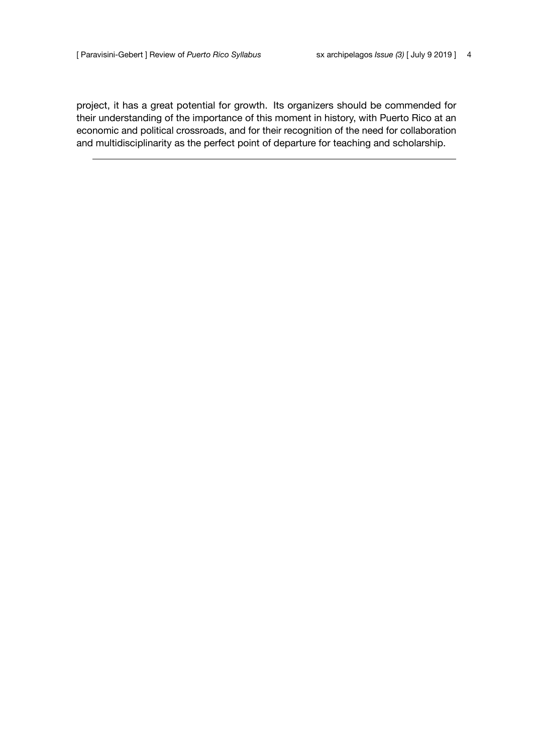project, it has a great potential for growth. Its organizers should be commended for their understanding of the importance of this moment in history, with Puerto Rico at an economic and political crossroads, and for their recognition of the need for collaboration and multidisciplinarity as the perfect point of departure for teaching and scholarship.